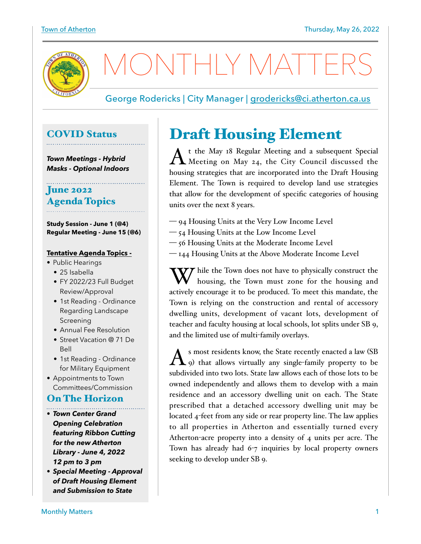

1ONTHLY MATTI

## George Rodericks | City Manager | [grodericks@ci.atherton.ca.us](mailto:grodericks@ci.atherton.ca.us)

## COVID Status

*Town Meetings - Hybrid Masks - Optional Indoors*

#### June 2022 Agenda Topics

**Study Session - June 1 (@4) Regular Meeting - June 15 (@6)**

#### **Tentative Agenda Topics -**

- Public Hearings
	- 25 Isabella
	- FY 2022/23 Full Budget Review/Approval
	- 1st Reading Ordinance Regarding Landscape Screening
	- Annual Fee Resolution
	- Street Vacation @ 71 De Bell
	- 1st Reading Ordinance for Military Equipment
- Appointments to Town Committees/Commission

## On The Horizon

- 
- *• Town Center Grand Opening Celebration featuring Ribbon Cutting for the new Atherton Library - June 4, 2022 12 pm to 3 pm*
- *• Special Meeting Approval of Draft Housing Element and Submission to State*

# Draft Housing Element

A <sup>t the May 18</sup> Regular Meeting and a subsequent Special Meeting on May 24, the City Council discussed the housing strategies that are incorporated into the Draft Housing Element. The Town is required to develop land use strategies that allow for the development of specific categories of housing units over the next 8 years.

- 94 Housing Units at the Very Low Income Level
- 54 Housing Units at the Low Income Level
- 56 Housing Units at the Moderate Income Level
- 144 Housing Units at the Above Moderate Income Level

W hile the Town does not have to physically construct the housing, the Town must zone for the housing and actively encourage it to be produced. To meet this mandate, the Town is relying on the construction and rental of accessory dwelling units, development of vacant lots, development of teacher and faculty housing at local schools, lot splits under SB 9, and the limited use of multi-family overlays.

 $A$ <sup>s</sup> most residents know, the State recently enacted a law (SB  $_9$ ) that allows virtually any single-family property to be subdivided into two lots. State law allows each of those lots to be owned independently and allows them to develop with a main residence and an accessory dwelling unit on each. The State prescribed that a detached accessory dwelling unit may be located 4-feet from any side or rear property line. The law applies to all properties in Atherton and essentially turned every Atherton-acre property into a density of 4 units per acre. The Town has already had 6-7 inquiries by local property owners seeking to develop under SB 9.